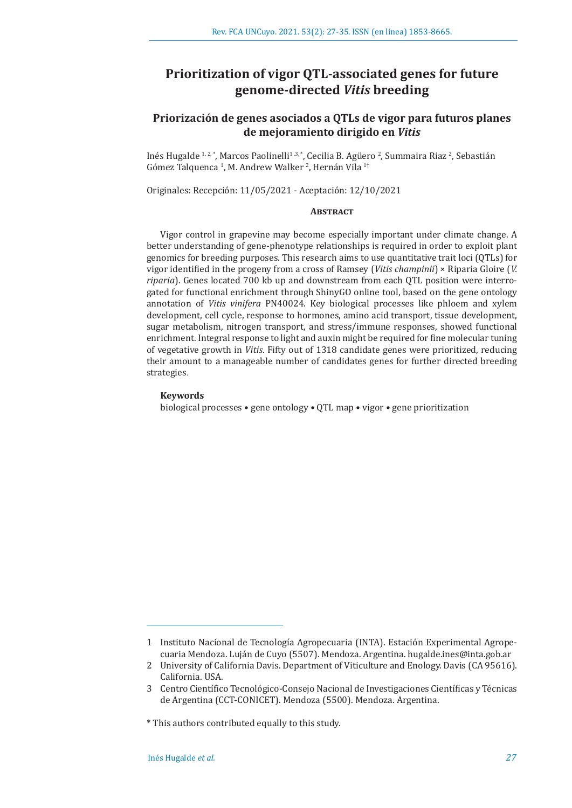# **Prioritization of vigor QTL-associated genes for future genome-directed** *Vitis* **breeding**

# **Priorización de genes asociados a QTLs de vigor para futuros planes de mejoramiento dirigido en** *Vitis*

Inés Hugalde <sup>1, 2,</sup> \*, Marcos Paolinelli<sup>1, 3, \*</sup>, Cecilia B. Agüero <sup>2</sup>, Summaira Riaz <sup>2</sup>, Sebastián Gómez Talquenca <sup>1</sup>, M. Andrew Walker <sup>2</sup>, Hernán Vila <sup>1</sup>†

Originales: Recepción: 11/05/2021 - Aceptación: 12/10/2021

# **ABSTRACT**

Vigor control in grapevine may become especially important under climate change. A better understanding of gene-phenotype relationships is required in order to exploit plant genomics for breeding purposes. This research aims to use quantitative trait loci (QTLs) for vigor identified in the progeny from a cross of Ramsey (*Vitis champinii*) × Riparia Gloire (*V. riparia*). Genes located 700 kb up and downstream from each QTL position were interrogated for functional enrichment through ShinyGO online tool, based on the gene ontology annotation of *Vitis vinifera* PN40024. Key biological processes like phloem and xylem development, cell cycle, response to hormones, amino acid transport, tissue development, sugar metabolism, nitrogen transport, and stress/immune responses, showed functional enrichment. Integral response to light and auxin might be required for fine molecular tuning of vegetative growth in *Vitis*. Fifty out of 1318 candidate genes were prioritized, reducing their amount to a manageable number of candidates genes for further directed breeding strategies.

# **Keywords**

biological processes • gene ontology • QTL map • vigor • gene prioritization

<sup>1</sup> Instituto Nacional de Tecnología Agropecuaria (INTA). Estación Experimental Agropecuaria Mendoza. Luján de Cuyo (5507). Mendoza. Argentina. hugalde.ines@inta.gob.ar

<sup>2</sup> University of California Davis. Department of Viticulture and Enology. Davis (CA 95616). California. USA.

<sup>3</sup> Centro Científico Tecnológico-Consejo Nacional de Investigaciones Científicas y Técnicas de Argentina (CCT-CONICET). Mendoza (5500). Mendoza. Argentina.

<sup>\*</sup> This authors contributed equally to this study.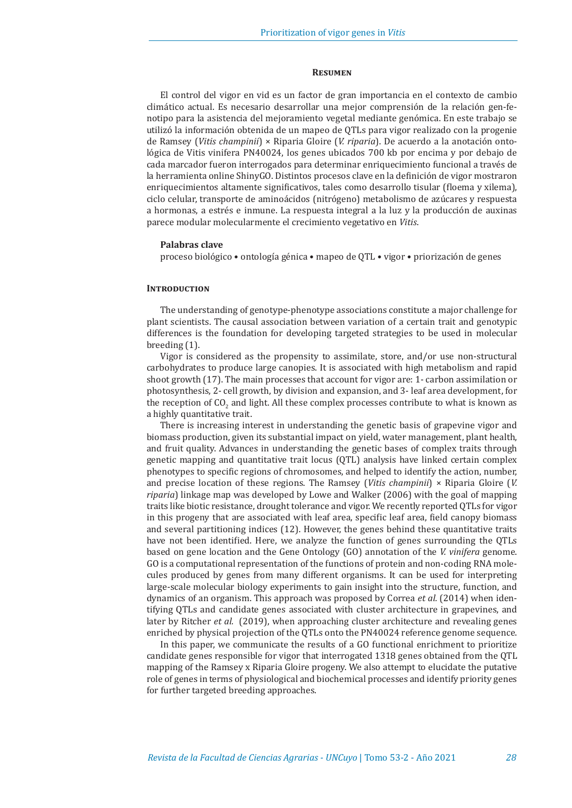#### **Resumen**

El control del vigor en vid es un factor de gran importancia en el contexto de cambio climático actual. Es necesario desarrollar una mejor comprensión de la relación gen-fenotipo para la asistencia del mejoramiento vegetal mediante genómica. En este trabajo se utilizó la información obtenida de un mapeo de QTLs para vigor realizado con la progenie de Ramsey (*Vitis champinii*) × Riparia Gloire (*V. riparia*). De acuerdo a la anotación ontológica de Vitis vinifera PN40024, los genes ubicados 700 kb por encima y por debajo de cada marcador fueron interrogados para determinar enriquecimiento funcional a través de la herramienta online ShinyGO. Distintos procesos clave en la definición de vigor mostraron enriquecimientos altamente significativos, tales como desarrollo tisular (floema y xilema), ciclo celular, transporte de aminoácidos (nitrógeno) metabolismo de azúcares y respuesta a hormonas, a estrés e inmune. La respuesta integral a la luz y la producción de auxinas parece modular molecularmente el crecimiento vegetativo en *Vitis*.

#### **Palabras clave**

proceso biológico • ontología génica • mapeo de QTL • vigor • priorización de genes

# **INTRODUCTION**

The understanding of genotype-phenotype associations constitute a major challenge for plant scientists. The causal association between variation of a certain trait and genotypic differences is the foundation for developing targeted strategies to be used in molecular breeding (1).

Vigor is considered as the propensity to assimilate, store, and/or use non-structural carbohydrates to produce large canopies. It is associated with high metabolism and rapid shoot growth (17). The main processes that account for vigor are: 1- carbon assimilation or photosynthesis, 2- cell growth, by division and expansion, and 3- leaf area development, for the reception of  $\mathrm{CO}_2$  and light. All these complex processes contribute to what is known as a highly quantitative trait.

There is increasing interest in understanding the genetic basis of grapevine vigor and biomass production, given its substantial impact on yield, water management, plant health, and fruit quality. Advances in understanding the genetic bases of complex traits through genetic mapping and quantitative trait locus (QTL) analysis have linked certain complex phenotypes to specific regions of chromosomes, and helped to identify the action, number, and precise location of these regions. The Ramsey (*Vitis champinii*) × Riparia Gloire (*V. riparia*) linkage map was developed by Lowe and Walker (2006) with the goal of mapping traits like biotic resistance, drought tolerance and vigor. We recently reported QTLs for vigor in this progeny that are associated with leaf area, specific leaf area, field canopy biomass and several partitioning indices (12). However, the genes behind these quantitative traits have not been identified. Here, we analyze the function of genes surrounding the QTLs based on gene location and the Gene Ontology (GO) annotation of the *V. vinifera* genome. GO is a computational representation of the functions of protein and non-coding RNA molecules produced by genes from many different organisms. It can be used for interpreting large-scale molecular biology experiments to gain insight into the structure, function, and dynamics of an organism. This approach was proposed by Correa *et al.* (2014) when identifying QTLs and candidate genes associated with cluster architecture in grapevines, and later by Ritcher *et al.* (2019), when approaching cluster architecture and revealing genes enriched by physical projection of the QTLs onto the PN40024 reference genome sequence.

In this paper, we communicate the results of a GO functional enrichment to prioritize candidate genes responsible for vigor that interrogated 1318 genes obtained from the QTL mapping of the Ramsey x Riparia Gloire progeny. We also attempt to elucidate the putative role of genes in terms of physiological and biochemical processes and identify priority genes for further targeted breeding approaches.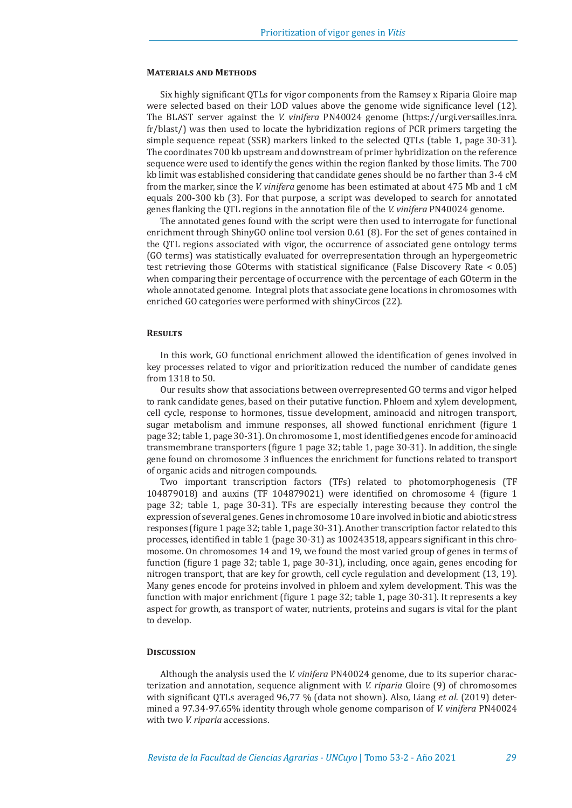#### **Materials and Methods**

Six highly significant QTLs for vigor components from the Ramsey x Riparia Gloire map were selected based on their LOD values above the genome wide significance level (12). The BLAST server against the *V. vinifera* PN40024 genome (https://urgi.versailles.inra. fr/blast/) was then used to locate the hybridization regions of PCR primers targeting the simple sequence repeat (SSR) markers linked to the selected QTLs (table 1, page 30-31). The coordinates 700 kb upstream and downstream of primer hybridization on the reference sequence were used to identify the genes within the region flanked by those limits. The 700 kb limit was established considering that candidate genes should be no farther than 3-4 cM from the marker, since the *V. vinifera* genome has been estimated at about 475 Mb and 1 cM equals 200-300 kb (3). For that purpose, a script was developed to search for annotated genes flanking the QTL regions in the annotation file of the *V. vinifera* PN40024 genome.

The annotated genes found with the script were then used to interrogate for functional enrichment through ShinyGO online tool version 0.61 (8). For the set of genes contained in the QTL regions associated with vigor, the occurrence of associated gene ontology terms (GO terms) was statistically evaluated for overrepresentation through an hypergeometric test retrieving those GOterms with statistical significance (False Discovery Rate < 0.05) when comparing their percentage of occurrence with the percentage of each GOterm in the whole annotated genome. Integral plots that associate gene locations in chromosomes with enriched GO categories were performed with shinyCircos (22).

#### **Results**

In this work, GO functional enrichment allowed the identification of genes involved in key processes related to vigor and prioritization reduced the number of candidate genes from 1318 to 50.

Our results show that associations between overrepresented GO terms and vigor helped to rank candidate genes, based on their putative function. Phloem and xylem development, cell cycle, response to hormones, tissue development, aminoacid and nitrogen transport, sugar metabolism and immune responses, all showed functional enrichment (figure 1 page 32;table 1, page 30-31).On chromosome 1, mostidentified genes encode for aminoacid transmembrane transporters (figure 1 page 32; table 1, page 30-31). In addition, the single gene found on chromosome 3 influences the enrichment for functions related to transport of organic acids and nitrogen compounds.

Two important transcription factors (TFs) related to photomorphogenesis (TF 104879018) and auxins (TF 104879021) were identified on chromosome 4 (figure 1 page 32; table 1, page 30-31). TFs are especially interesting because they control the expression of several genes. Genes in chromosome 10 are involved in biotic and abiotic stress responses (figure 1 page 32;table 1, page 30-31). Another transcription factor related to this processes, identified in table 1 (page 30-31) as 100243518, appears significant in this chromosome. On chromosomes 14 and 19, we found the most varied group of genes in terms of function (figure 1 page 32; table 1, page 30-31), including, once again, genes encoding for nitrogen transport, that are key for growth, cell cycle regulation and development (13, 19). Many genes encode for proteins involved in phloem and xylem development. This was the function with major enrichment (figure 1 page 32; table 1, page 30-31). It represents a key aspect for growth, as transport of water, nutrients, proteins and sugars is vital for the plant to develop.

### **Discussion**

Although the analysis used the *V. vinifera* PN40024 genome, due to its superior characterization and annotation, sequence alignment with *V. riparia* Gloire (9) of chromosomes with significant QTLs averaged 96,77 % (data not shown). Also, Liang *et al.* (2019) determined a 97.34-97.65% identity through whole genome comparison of *V. vinifera* PN40024 with two *V. riparia* accessions.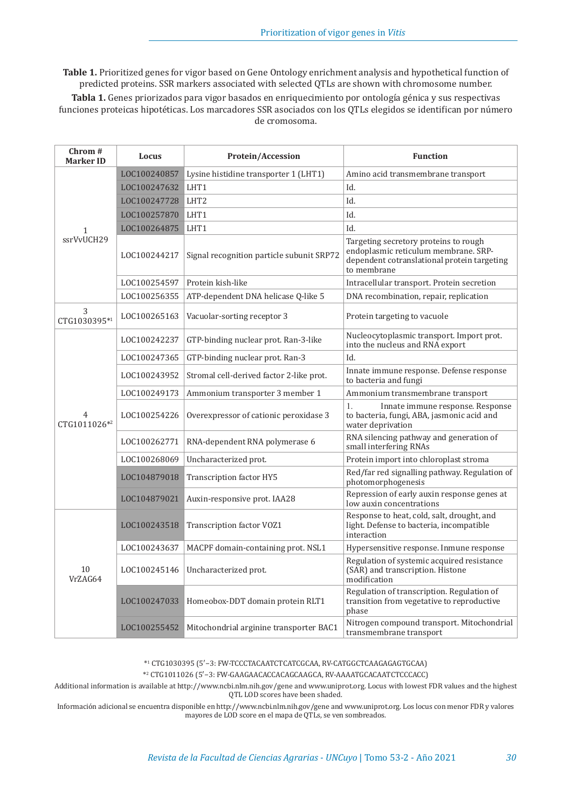**Table 1.** Prioritized genes for vigor based on Gene Ontology enrichment analysis and hypothetical function of predicted proteins. SSR markers associated with selected QTLs are shown with chromosome number.

**Tabla 1.** Genes priorizados para vigor basados en enriquecimiento por ontología génica y sus respectivas funciones proteicas hipotéticas. Los marcadores SSR asociados con los QTLs elegidos se identifican por número de cromosoma.

| Chrom #<br>Marker ID       | Locus        | <b>Protein/Accession</b>                  | <b>Function</b>                                                                                                                             |
|----------------------------|--------------|-------------------------------------------|---------------------------------------------------------------------------------------------------------------------------------------------|
| $\mathbf{1}$<br>ssrVvUCH29 | LOC100240857 | Lysine histidine transporter 1 (LHT1)     | Amino acid transmembrane transport                                                                                                          |
|                            | LOC100247632 | LHT1                                      | Id.                                                                                                                                         |
|                            | LOC100247728 | LHT <sub>2</sub>                          | Id.                                                                                                                                         |
|                            | LOC100257870 | LHT1                                      | Id.                                                                                                                                         |
|                            | LOC100264875 | LHT1                                      | Id.                                                                                                                                         |
|                            | LOC100244217 | Signal recognition particle subunit SRP72 | Targeting secretory proteins to rough<br>endoplasmic reticulum membrane. SRP-<br>dependent cotranslational protein targeting<br>to membrane |
|                            | LOC100254597 | Protein kish-like                         | Intracellular transport. Protein secretion                                                                                                  |
|                            | LOC100256355 | ATP-dependent DNA helicase Q-like 5       | DNA recombination, repair, replication                                                                                                      |
| 3<br>CTG1030395*1          | LOC100265163 | Vacuolar-sorting receptor 3               | Protein targeting to vacuole                                                                                                                |
| CTG1011026*2               | LOC100242237 | GTP-binding nuclear prot. Ran-3-like      | Nucleocytoplasmic transport. Import prot.<br>into the nucleus and RNA export                                                                |
|                            | LOC100247365 | GTP-binding nuclear prot. Ran-3           | Id.                                                                                                                                         |
|                            | LOC100243952 | Stromal cell-derived factor 2-like prot.  | Innate immune response. Defense response<br>to bacteria and fungi                                                                           |
|                            | LOC100249173 | Ammonium transporter 3 member 1           | Ammonium transmembrane transport                                                                                                            |
|                            | LOC100254226 | Overexpressor of cationic peroxidase 3    | Innate immune response. Response<br>$\mathbf{1}$ .<br>to bacteria, fungi, ABA, jasmonic acid and<br>water deprivation                       |
|                            | LOC100262771 | RNA-dependent RNA polymerase 6            | RNA silencing pathway and generation of<br>small interfering RNAs                                                                           |
|                            | LOC100268069 | Uncharacterized prot.                     | Protein import into chloroplast stroma                                                                                                      |
|                            | LOC104879018 | Transcription factor HY5                  | Red/far red signalling pathway. Regulation of<br>photomorphogenesis                                                                         |
|                            | LOC104879021 | Auxin-responsive prot. IAA28              | Repression of early auxin response genes at<br>low auxin concentrations                                                                     |
| 10<br>VrZAG64              | LOC100243518 | Transcription factor VOZ1                 | Response to heat, cold, salt, drought, and<br>light. Defense to bacteria, incompatible<br>interaction                                       |
|                            | LOC100243637 | MACPF domain-containing prot. NSL1        | Hypersensitive response. Inmune response                                                                                                    |
|                            | LOC100245146 | Uncharacterized prot.                     | Regulation of systemic acquired resistance<br>(SAR) and transcription. Histone<br>modification                                              |
|                            | LOC100247033 | Homeobox-DDT domain protein RLT1          | Regulation of transcription. Regulation of<br>transition from vegetative to reproductive<br>phase                                           |
|                            | LOC100255452 | Mitochondrial arginine transporter BAC1   | Nitrogen compound transport. Mitochondrial<br>transmembrane transport                                                                       |

\*<sup>1</sup> CTG1030395 (5′−3: FW-TCCCTACAATCTCATCGCAA, RV-CATGGCTCAAGAGAGTGCAA)

\*<sup>2</sup> CTG1011026 (5′−3: FW-GAAGAACACCACAGCAAGCA, RV-AAAATGCACAATCTCCCACC)

Additional information is available at http://www.ncbi.nlm.nih.gov/gene and www.uniprot.org. Locus with lowest FDR values and the highest QTL LOD scores have been shaded.

Información adicional se encuentra disponible en http://www.ncbi.nlm.nih.gov/gene and www.uniprot.org. Los locus con menor FDR y valores mayores de LOD score en el mapa de QTLs, se ven sombreados.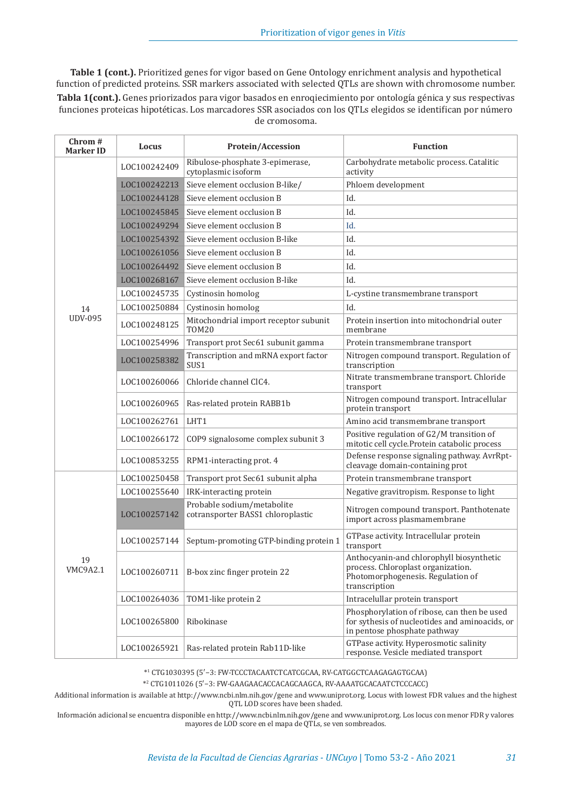**Table 1 (cont.).** Prioritized genes for vigor based on Gene Ontology enrichment analysis and hypothetical function of predicted proteins. SSR markers associated with selected QTLs are shown with chromosome number. **Tabla 1(cont.).** Genes priorizados para vigor basados en enroqiecimiento por ontología génica y sus respectivas funciones proteicas hipotéticas. Los marcadores SSR asociados con los QTLs elegidos se identifican por número de cromosoma.

| Chrom #<br><b>Marker ID</b> | Locus        | Protein/Accession                                               | <b>Function</b>                                                                                                                      |
|-----------------------------|--------------|-----------------------------------------------------------------|--------------------------------------------------------------------------------------------------------------------------------------|
| 14<br><b>UDV-095</b>        | LOC100242409 | Ribulose-phosphate 3-epimerase,<br>cytoplasmic isoform          | Carbohydrate metabolic process. Catalitic<br>activity                                                                                |
|                             | LOC100242213 | Sieve element occlusion B-like/                                 | Phloem development                                                                                                                   |
|                             | LOC100244128 | Sieve element occlusion B                                       | Id.                                                                                                                                  |
|                             | LOC100245845 | Sieve element occlusion B                                       | Id.                                                                                                                                  |
|                             | LOC100249294 | Sieve element occlusion B                                       | Id.                                                                                                                                  |
|                             | LOC100254392 | Sieve element occlusion B-like                                  | Id.                                                                                                                                  |
|                             | LOC100261056 | Sieve element occlusion B                                       | Id.                                                                                                                                  |
|                             | LOC100264492 | Sieve element occlusion B                                       | Id.                                                                                                                                  |
|                             | LOC100268167 | Sieve element occlusion B-like                                  | Id.                                                                                                                                  |
|                             | LOC100245735 | Cystinosin homolog                                              | L-cystine transmembrane transport                                                                                                    |
|                             | LOC100250884 | Cystinosin homolog                                              | Id.                                                                                                                                  |
|                             | LOC100248125 | Mitochondrial import receptor subunit<br><b>TOM20</b>           | Protein insertion into mitochondrial outer<br>membrane                                                                               |
|                             | LOC100254996 | Transport prot Sec61 subunit gamma                              | Protein transmembrane transport                                                                                                      |
|                             | LOC100258382 | Transcription and mRNA export factor<br>SUS1                    | Nitrogen compound transport. Regulation of<br>transcription                                                                          |
|                             | LOC100260066 | Chloride channel ClC4.                                          | Nitrate transmembrane transport. Chloride<br>transport                                                                               |
|                             | LOC100260965 | Ras-related protein RABB1b                                      | Nitrogen compound transport. Intracellular<br>protein transport                                                                      |
|                             | LOC100262761 | LHT1                                                            | Amino acid transmembrane transport                                                                                                   |
|                             | LOC100266172 | COP9 signalosome complex subunit 3                              | Positive regulation of G2/M transition of<br>mitotic cell cycle. Protein catabolic process                                           |
|                             | LOC100853255 | RPM1-interacting prot. 4                                        | Defense response signaling pathway. AvrRpt-<br>cleavage domain-containing prot                                                       |
|                             | LOC100250458 | Transport prot Sec61 subunit alpha                              | Protein transmembrane transport                                                                                                      |
|                             | LOC100255640 | IRK-interacting protein                                         | Negative gravitropism. Response to light                                                                                             |
| 19<br>VMC9A2.1              | LOC100257142 | Probable sodium/metabolite<br>cotransporter BASS1 chloroplastic | Nitrogen compound transport. Panthotenate<br>import across plasmamembrane                                                            |
|                             | LOC100257144 | Septum-promoting GTP-binding protein 1                          | GTPase activity. Intracellular protein<br>transport                                                                                  |
|                             | LOC100260711 | B-box zinc finger protein 22                                    | Anthocyanin-and chlorophyll biosynthetic<br>process. Chloroplast organization.<br>Photomorphogenesis. Regulation of<br>transcription |
|                             | LOC100264036 | TOM1-like protein 2                                             | Intracelullar protein transport                                                                                                      |
|                             | LOC100265800 | Ribokinase                                                      | Phosphorylation of ribose, can then be used<br>for sythesis of nucleotides and aminoacids, or<br>in pentose phosphate pathway        |
|                             | LOC100265921 | Ras-related protein Rab11D-like                                 | GTPase activity. Hyperosmotic salinity<br>response. Vesicle mediated transport                                                       |

\*<sup>1</sup> CTG1030395 (5′−3: FW-TCCCTACAATCTCATCGCAA, RV-CATGGCTCAAGAGAGTGCAA)

\*<sup>2</sup> CTG1011026 (5′−3: FW-GAAGAACACCACAGCAAGCA, RV-AAAATGCACAATCTCCCACC)

Additional information is available at http://www.ncbi.nlm.nih.gov/gene and www.uniprot.org. Locus with lowest FDR values and the highest QTL LOD scores have been shaded.

Información adicional se encuentra disponible en http://www.ncbi.nlm.nih.gov/gene and www.uniprot.org. Los locus con menor FDR y valores mayores de LOD score en el mapa de QTLs, se ven sombreados.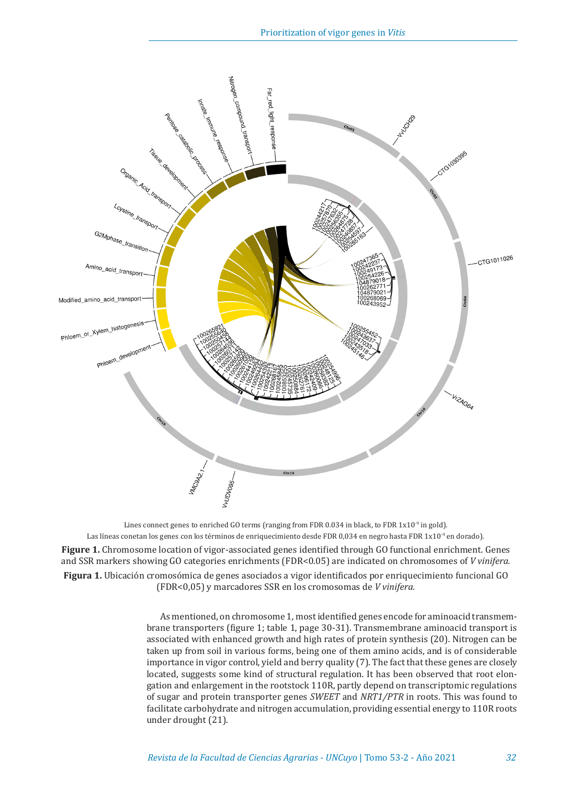

Lines connect genes to enriched GO terms (ranging from FDR 0.034 in black, to FDR  $1x10^{-9}$  in gold). Las líneas conetan los genes con los términos de enriquecimiento desde FDR 0,034 en negro hasta FDR 1x10<sup>-9</sup> en dorado).

**Figure 1.** Chromosome location of vigor-associated genes identified through GO functional enrichment. Genes and SSR markers showing GO categories enrichments (FDR<0.05) are indicated on chromosomes of *V vinifera.* **Figura 1.** Ubicación cromosómica de genes asociados a vigor identificados por enriquecimiento funcional GO (FDR<0,05) y marcadores SSR en los cromosomas de *V vinifera.*

> As mentioned, on chromosome 1, mostidentified genes encode for aminoacid transmembrane transporters (figure 1; table 1, page 30-31). Transmembrane aminoacid transport is associated with enhanced growth and high rates of protein synthesis (20). Nitrogen can be taken up from soil in various forms, being one of them amino acids, and is of considerable importance in vigor control, yield and berry quality (7). The fact that these genes are closely located, suggests some kind of structural regulation. It has been observed that root elongation and enlargement in the rootstock 110R, partly depend on transcriptomic regulations of sugar and protein transporter genes *SWEET* and *NRT1/PTR* in roots. This was found to facilitate carbohydrate and nitrogen accumulation, providing essential energy to 110R roots under drought (21).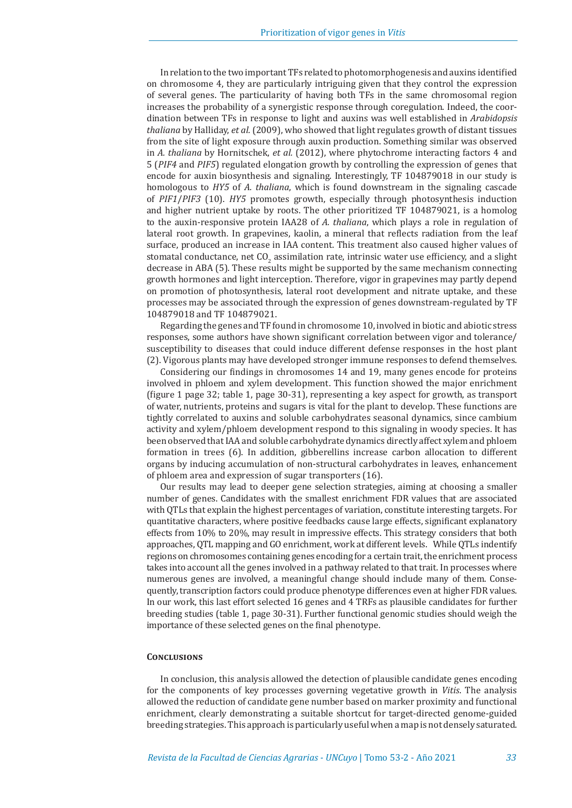In relation to the two importantTFs related to photomorphogenesis and auxins identified on chromosome 4, they are particularly intriguing given that they control the expression of several genes. The particularity of having both TFs in the same chromosomal region increases the probability of a synergistic response through coregulation. Indeed, the coordination between TFs in response to light and auxins was well established in *Arabidopsis thaliana* by Halliday, *et al.* (2009), who showed that light regulates growth of distant tissues from the site of light exposure through auxin production. Something similar was observed in *A. thaliana* by Hornitschek, *et al.* (2012), where phytochrome interacting factors 4 and 5 (*PIF4* and *PIF5*) regulated elongation growth by controlling the expression of genes that encode for auxin biosynthesis and signaling. Interestingly, TF 104879018 in our study is homologous to *HY5* of *A. thaliana*, which is found downstream in the signaling cascade of *PIF1*/*PIF3* (10). *HY5* promotes growth, especially through photosynthesis induction and higher nutrient uptake by roots. The other prioritized TF 104879021, is a homolog to the auxin-responsive protein IAA28 of *A. thaliana*, which plays a role in regulation of lateral root growth. In grapevines, kaolin, a mineral that reflects radiation from the leaf surface, produced an increase in IAA content. This treatment also caused higher values of stomatal conductance, net  $CO<sub>2</sub>$  assimilation rate, intrinsic water use efficiency, and a slight decrease in ABA (5). These results might be supported by the same mechanism connecting growth hormones and light interception. Therefore, vigor in grapevines may partly depend on promotion of photosynthesis, lateral root development and nitrate uptake, and these processes may be associated through the expression of genes downstream-regulated by TF 104879018 and TF 104879021.

Regarding the genes and TF found in chromosome 10, involved in biotic and abiotic stress responses, some authors have shown significant correlation between vigor and tolerance/ susceptibility to diseases that could induce different defense responses in the host plant (2). Vigorous plants may have developed stronger immune responses to defend themselves.

Considering our findings in chromosomes 14 and 19, many genes encode for proteins involved in phloem and xylem development. This function showed the major enrichment (figure 1 page 32; table 1, page 30-31), representing a key aspect for growth, as transport of water, nutrients, proteins and sugars is vital for the plant to develop. These functions are tightly correlated to auxins and soluble carbohydrates seasonal dynamics, since cambium activity and xylem/phloem development respond to this signaling in woody species. It has been observed that IAA and soluble carbohydrate dynamics directly affect xylem and phloem formation in trees (6). In addition, gibberellins increase carbon allocation to different organs by inducing accumulation of non-structural carbohydrates in leaves, enhancement of phloem area and expression of sugar transporters (16).

Our results may lead to deeper gene selection strategies, aiming at choosing a smaller number of genes. Candidates with the smallest enrichment FDR values that are associated with QTLs that explain the highest percentages of variation, constitute interesting targets. For quantitative characters, where positive feedbacks cause large effects, significant explanatory effects from 10% to 20%, may result in impressive effects. This strategy considers that both approaches, QTL mapping and GO enrichment, work at different levels. While QTLs indentify regions on chromosomes containing genes encoding for a certain trait, the enrichment process takes into account all the genes involved in a pathway related to that trait. In processes where numerous genes are involved, a meaningful change should include many of them. Consequently, transcription factors could produce phenotype differences even at higher FDR values. In our work, this last effort selected 16 genes and 4 TRFs as plausible candidates for further breeding studies (table 1, page 30-31). Further functional genomic studies should weigh the importance of these selected genes on the final phenotype.

#### **Conclusions**

In conclusion, this analysis allowed the detection of plausible candidate genes encoding for the components of key processes governing vegetative growth in *Vitis*. The analysis allowed the reduction of candidate gene number based on marker proximity and functional enrichment, clearly demonstrating a suitable shortcut for target-directed genome-guided breeding strategies. This approach is particularly useful when a map is not densely saturated.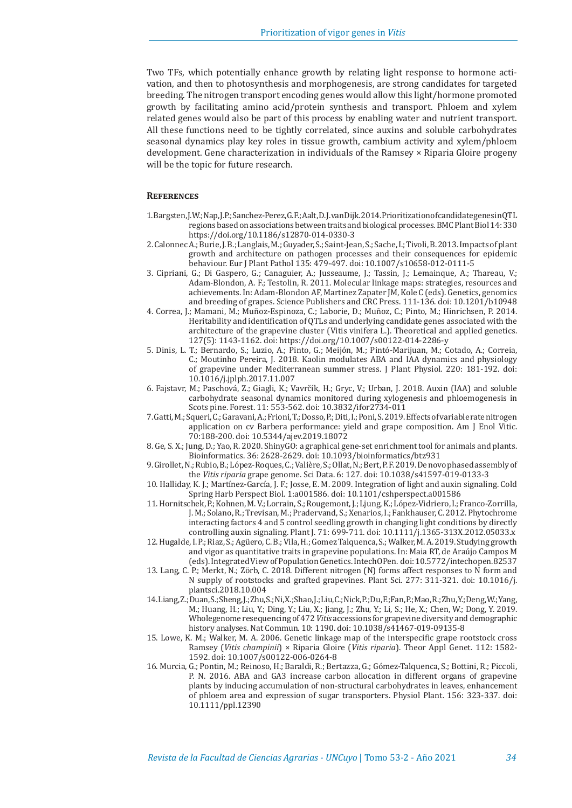Two TFs, which potentially enhance growth by relating light response to hormone activation, and then to photosynthesis and morphogenesis, are strong candidates for targeted breeding. The nitrogen transport encoding genes would allow this light/hormone promoted growth by facilitating amino acid/protein synthesis and transport. Phloem and xylem related genes would also be part of this process by enabling water and nutrient transport. All these functions need to be tightly correlated, since auxins and soluble carbohydrates seasonal dynamics play key roles in tissue growth, cambium activity and xylem/phloem development. Gene characterization in individuals of the Ramsey × Riparia Gloire progeny will be the topic for future research.

#### **References**

- 1. Bargsten, J. W.; Nap, J. P.; Sanchez-Perez, G. F.; Aalt, D. J. van Dijk.2014. Prioritization of candidate genes in QTL regions based on associations between traits and biological processes. BMC Plant Biol 14: 330 https://doi.org/10.1186/s12870-014-0330-3
- 2. Calonnec A.; Burie, J. B.; Langlais, M.; Guyader, S.; Saint-Jean, S.; Sache, I.; Tivoli, B. 2013. Impacts of plant growth and architecture on pathogen processes and their consequences for epidemic behaviour. Eur J Plant Pathol 135: 479-497. doi: 10.1007/s10658-012-0111-5
- 3. Cipriani, G.; Di Gaspero, G.; Canaguier, A.; Jusseaume, J.; Tassin, J.; Lemainque, A.; Thareau, V.; Adam-Blondon, A. F.; Testolin, R. 2011. Molecular linkage maps: strategies, resources and achievements. In: Adam-Blondon AF, Martinez Zapater JM, Kole C (eds). Genetics, genomics and breeding of grapes. Science Publishers and CRC Press. 111-136. doi: 10.1201/b10948
- 4. Correa, J.; Mamani, M.; Muñoz-Espinoza, C.; Laborie, D.; Muñoz, C.; Pinto, M.; Hinrichsen, P. 2014. Heritability and identification of QTLs and underlying candidate genes associated with the architecture of the grapevine cluster (Vitis vinifera L.). Theoretical and applied genetics. 127(5): 1143-1162. doi: https://doi.org/10.1007/s00122-014-2286-y
- 5. Dinis, L. T.; Bernardo, S.; Luzio, A.; Pinto, G.; Meijón, M.; Pintó-Marijuan, M.; Cotado, A.; Correia, C.; Moutinho Pereira, J. 2018. Kaolin modulates ABA and IAA dynamics and physiology of grapevine under Mediterranean summer stress. J Plant Physiol. 220: 181-192. doi: 10.1016/j.jplph.2017.11.007
- 6. Fajstavr, M.; Paschová, Z.; Giagli, K.; Vavrčík, H.; Gryc, V.; Urban, J. 2018. Auxin (IAA) and soluble carbohydrate seasonal dynamics monitored during xylogenesis and phloemogenesis in Scots pine. Forest. 11: 553-562. doi: 10.3832/ifor2734-011
- 7. Gatti, M.; Squeri, C.; Garavani, A.; Frioni, T.; Dosso, P.; Diti, I.; Poni, S. 2019. Effects of variable rate nitrogen application on cv Barbera performance: yield and grape composition. Am J Enol Vitic. 70:188-200. doi: 10.5344/ajev.2019.18072
- 8. Ge, S. X.; Jung, D.; Yao, R. 2020. ShinyGO: a graphical gene-set enrichment tool for animals and plants. Bioinformatics. 36: 2628-2629. doi: 10.1093/bioinformatics/btz931
- 9. Girollet, N.; Rubio, B.; López-Roques, C.; Valière, S.; Ollat, N.; Bert, P. F. 2019. De novo phased assembly of the *Vitis riparia* grape genome. Sci Data. 6: 127. doi: 10.1038/s41597-019-0133-3
- 10. Halliday, K. J.; Martínez-García, J. F.; Josse, E. M. 2009. Integration of light and auxin signaling. Cold Spring Harb Perspect Biol. 1:a001586. doi: 10.1101/cshperspect.a001586
- 11. Hornitschek, P.; Kohnen, M. V.; Lorrain, S.; Rougemont, J.; Ljung, K.; López-Vidriero, I.; Franco-Zorrilla, J. M.; Solano, R.; Trevisan, M.; Pradervand, S.; Xenarios, I.; Fankhauser, C. 2012. Phytochrome interacting factors 4 and 5 control seedling growth in changing light conditions by directly controlling auxin signaling. Plant J. 71: 699-711. doi: 10.1111/j.1365-313X.2012.05033.x
- 12. Hugalde, I. P.; Riaz, S.; Agüero, C. B.; Vila, H.; Gomez Talquenca, S.; Walker, M. A. 2019. Studying growth and vigor as quantitative traits in grapevine populations. In: Maia RT, de Araújo Campos M (eds). Integrated View of Population Genetics. IntechOPen. doi: 10.5772/intechopen.82537
- 13. Lang, C. P.; Merkt, N.; Zörb, C. 2018. Different nitrogen (N) forms affect responses to N form and N supply of rootstocks and grafted grapevines. Plant Sci. 277: 311-321. doi: 10.1016/j. plantsci.2018.10.004
- 14. Liang, Z.; Duan, S.; Sheng, J.; Zhu, S.; Ni, X.; Shao, J.; Liu, C.; Nick, P.; Du, F.; Fan, P.; Mao, R.; Zhu, Y.; Deng, W.; Yang, M.; Huang, H.; Liu, Y.; Ding, Y.; Liu, X.; Jiang, J.; Zhu, Y.; Li, S.; He, X.; Chen, W.; Dong, Y. 2019. Wholegenome resequencing of 472 *Vitis* accessions for grapevine diversity and demographic history analyses. Nat Commun. 10: 1190. doi: 10.1038/s41467-019-09135-8
- 15. Lowe, K. M.; Walker, M. A. 2006. Genetic linkage map of the interspecific grape rootstock cross Ramsey (*Vitis champinii*) × Riparia Gloire (*Vitis riparia*). Theor Appl Genet. 112: 1582- 1592. doi: 10.1007/s00122-006-0264-8
- 16. Murcia, G.; Pontin, M.; Reinoso, H.; Baraldi, R.; Bertazza, G.; Gómez-Talquenca, S.; Bottini, R.; Piccoli, P. N. 2016. ABA and GA3 increase carbon allocation in different organs of grapevine plants by inducing accumulation of non-structural carbohydrates in leaves, enhancement of phloem area and expression of sugar transporters. Physiol Plant. 156: 323-337. doi: 10.1111/ppl.12390